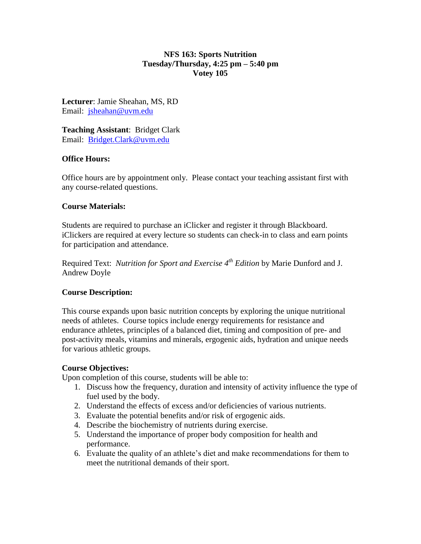### **NFS 163: Sports Nutrition Tuesday/Thursday, 4:25 pm – 5:40 pm Votey 105**

**Lecturer**: Jamie Sheahan, MS, RD Email: [jsheahan@uvm.edu](mailto:jsheahan@uvm.edu)

**Teaching Assistant**: Bridget Clark Email: [Bridget.Clark@uvm.edu](mailto:Bridget.Clark@uvm.edu)

### **Office Hours:**

Office hours are by appointment only. Please contact your teaching assistant first with any course-related questions.

#### **Course Materials:**

Students are required to purchase an iClicker and register it through Blackboard. iClickers are required at every lecture so students can check-in to class and earn points for participation and attendance.

Required Text: *Nutrition for Sport and Exercise 4th Edition* by Marie Dunford and J. Andrew Doyle

#### **Course Description:**

This course expands upon basic nutrition concepts by exploring the unique nutritional needs of athletes. Course topics include energy requirements for resistance and endurance athletes, principles of a balanced diet, timing and composition of pre- and post-activity meals, vitamins and minerals, ergogenic aids, hydration and unique needs for various athletic groups.

#### **Course Objectives:**

Upon completion of this course, students will be able to:

- 1. Discuss how the frequency, duration and intensity of activity influence the type of fuel used by the body.
- 2. Understand the effects of excess and/or deficiencies of various nutrients.
- 3. Evaluate the potential benefits and/or risk of ergogenic aids.
- 4. Describe the biochemistry of nutrients during exercise.
- 5. Understand the importance of proper body composition for health and performance.
- 6. Evaluate the quality of an athlete's diet and make recommendations for them to meet the nutritional demands of their sport.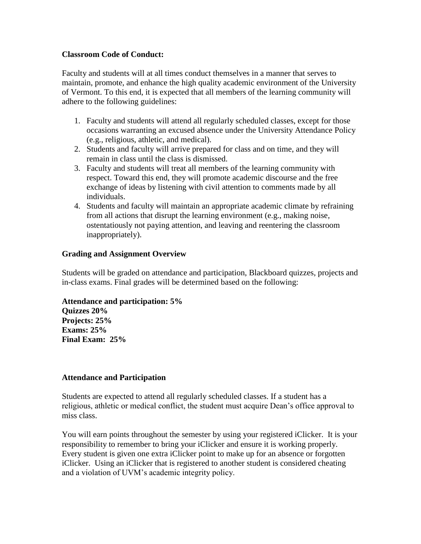### **Classroom Code of Conduct:**

Faculty and students will at all times conduct themselves in a manner that serves to maintain, promote, and enhance the high quality academic environment of the University of Vermont. To this end, it is expected that all members of the learning community will adhere to the following guidelines:

- 1. Faculty and students will attend all regularly scheduled classes, except for those occasions warranting an excused absence under the University Attendance Policy (e.g., religious, athletic, and medical).
- 2. Students and faculty will arrive prepared for class and on time, and they will remain in class until the class is dismissed.
- 3. Faculty and students will treat all members of the learning community with respect. Toward this end, they will promote academic discourse and the free exchange of ideas by listening with civil attention to comments made by all individuals.
- 4. Students and faculty will maintain an appropriate academic climate by refraining from all actions that disrupt the learning environment (e.g., making noise, ostentatiously not paying attention, and leaving and reentering the classroom inappropriately).

### **Grading and Assignment Overview**

Students will be graded on attendance and participation, Blackboard quizzes, projects and in-class exams. Final grades will be determined based on the following:

#### **Attendance and participation: 5%**

**Quizzes 20% Projects: 25% Exams: 25% Final Exam: 25%** 

## **Attendance and Participation**

Students are expected to attend all regularly scheduled classes. If a student has a religious, athletic or medical conflict, the student must acquire Dean's office approval to miss class.

You will earn points throughout the semester by using your registered iClicker. It is your responsibility to remember to bring your iClicker and ensure it is working properly. Every student is given one extra iClicker point to make up for an absence or forgotten iClicker. Using an iClicker that is registered to another student is considered cheating and a violation of UVM's academic integrity policy.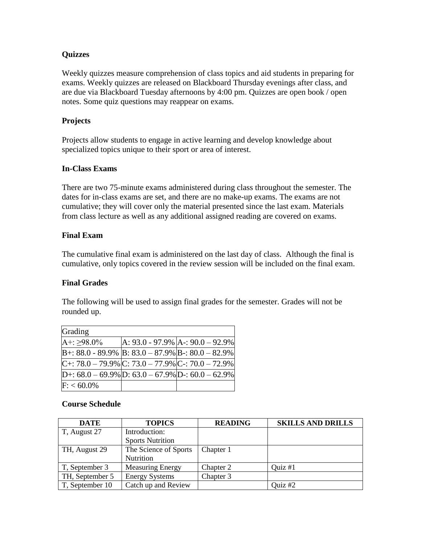## **Quizzes**

Weekly quizzes measure comprehension of class topics and aid students in preparing for exams. Weekly quizzes are released on Blackboard Thursday evenings after class, and are due via Blackboard Tuesday afternoons by 4:00 pm. Quizzes are open book / open notes. Some quiz questions may reappear on exams.

# **Projects**

Projects allow students to engage in active learning and develop knowledge about specialized topics unique to their sport or area of interest.

## **In-Class Exams**

There are two 75-minute exams administered during class throughout the semester. The dates for in-class exams are set, and there are no make-up exams. The exams are not cumulative; they will cover only the material presented since the last exam. Materials from class lecture as well as any additional assigned reading are covered on exams.

### **Final Exam**

The cumulative final exam is administered on the last day of class. Although the final is cumulative, only topics covered in the review session will be included on the final exam.

## **Final Grades**

The following will be used to assign final grades for the semester. Grades will not be rounded up.

| Grading                                                                                  |  |                                     |  |  |  |
|------------------------------------------------------------------------------------------|--|-------------------------------------|--|--|--|
| $A+$ : >98.0%                                                                            |  | $A: 93.0 - 97.9\% A: 90.0 - 92.9\%$ |  |  |  |
| $B+: 88.0 - 89.9\% \, B: 83.0 - 87.9\% \, B: 80.0 - 82.9\% \,$                           |  |                                     |  |  |  |
| $ C_{\pm}$ : 78.0 – 79.9% $ C_{\pm}$ : 73.0 – 77.9% $ C_{\pm}$ : 70.0 – 72.9% $ C_{\pm}$ |  |                                     |  |  |  |
| $D+$ : 68.0 – 69.9% $D$ : 63.0 – 67.9% $D-$ : 60.0 – 62.9%                               |  |                                     |  |  |  |
| $F: < 60.0\%$                                                                            |  |                                     |  |  |  |

## **Course Schedule**

| <b>DATE</b>     | <b>TOPICS</b>           | <b>READING</b> | <b>SKILLS AND DRILLS</b> |
|-----------------|-------------------------|----------------|--------------------------|
| T, August 27    | Introduction:           |                |                          |
|                 | <b>Sports Nutrition</b> |                |                          |
| TH, August 29   | The Science of Sports   | Chapter 1      |                          |
|                 | Nutrition               |                |                          |
| T, September 3  | <b>Measuring Energy</b> | Chapter 2      | Quiz $#1$                |
| TH, September 5 | <b>Energy Systems</b>   | Chapter 3      |                          |
| T, September 10 | Catch up and Review     |                | Quiz #2                  |